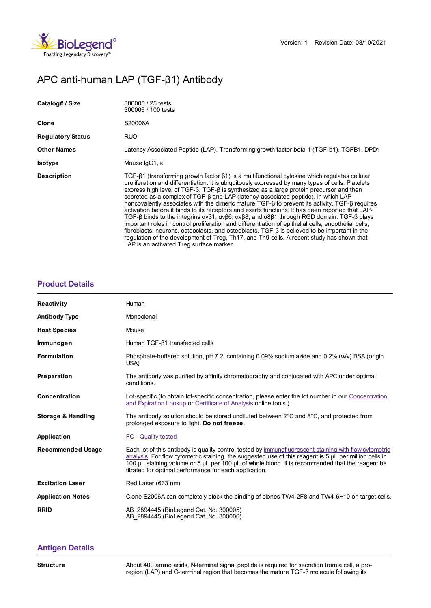

# APC anti-human LAP (TGF-β1) Antibody

| Catalog# / Size          | 300005 / 25 tests<br>300006 / 100 tests                                                                                                                                                                                                                                                                                                                                                                                                                                                                                                                                                                                                                                                                                                                                                                                                                                                                                                                                                                                                                             |
|--------------------------|---------------------------------------------------------------------------------------------------------------------------------------------------------------------------------------------------------------------------------------------------------------------------------------------------------------------------------------------------------------------------------------------------------------------------------------------------------------------------------------------------------------------------------------------------------------------------------------------------------------------------------------------------------------------------------------------------------------------------------------------------------------------------------------------------------------------------------------------------------------------------------------------------------------------------------------------------------------------------------------------------------------------------------------------------------------------|
| Clone                    | S20006A                                                                                                                                                                                                                                                                                                                                                                                                                                                                                                                                                                                                                                                                                                                                                                                                                                                                                                                                                                                                                                                             |
| <b>Regulatory Status</b> | <b>RUO</b>                                                                                                                                                                                                                                                                                                                                                                                                                                                                                                                                                                                                                                                                                                                                                                                                                                                                                                                                                                                                                                                          |
| <b>Other Names</b>       | Latency Associated Peptide (LAP), Transforming growth factor beta 1 (TGF-b1), TGFB1, DPD1                                                                                                                                                                                                                                                                                                                                                                                                                                                                                                                                                                                                                                                                                                                                                                                                                                                                                                                                                                           |
| <b>Isotype</b>           | Mouse IgG1, K                                                                                                                                                                                                                                                                                                                                                                                                                                                                                                                                                                                                                                                                                                                                                                                                                                                                                                                                                                                                                                                       |
| <b>Description</b>       | TGF-β1 (transforming growth factor β1) is a multifunctional cytokine which regulates cellular<br>proliferation and differentiation. It is ubiquitously expressed by many types of cells. Platelets<br>express high level of $TGF-B$ . TGF- $\beta$ is synthesized as a large protein precursor and then<br>secreted as a complex of TGF-B and LAP (latency-associated peptide), in which LAP<br>noncovalently associates with the dimeric mature TGF- $\beta$ to prevent its activity. TGF- $\beta$ requires<br>activation before it binds to its receptors and exerts functions. It has been reported that LAP-<br>TGF-β binds to the integrins ανβ1, ανβ6, ανβ8, and α8β1 through RGD domain. TGF-β plays<br>important roles in control proliferation and differentiation of epithelial cells, endothelial cells,<br>fibroblasts, neurons, osteoclasts, and osteoblasts. TGF- $\beta$ is believed to be important in the<br>regulation of the development of Treg, Th17, and Th9 cells. A recent study has shown that<br>LAP is an activated Treg surface marker. |

### **[Product](https://production-dynamicweb.biolegend.com/fr-lu/products/apc-anti-human-lap-tgf-beta1-antibody-21117?pdf=true&displayInline=true&leftRightMargin=15&topBottomMargin=15&filename=APC anti-human LAP (TGF-%EF%BF%BD%EF%BF%BD1) Antibody.pdf#productDetails) Details**

| <b>Reactivity</b>             | Human                                                                                                                                                                                                                                                                                                                                                                              |
|-------------------------------|------------------------------------------------------------------------------------------------------------------------------------------------------------------------------------------------------------------------------------------------------------------------------------------------------------------------------------------------------------------------------------|
| <b>Antibody Type</b>          | Monoclonal                                                                                                                                                                                                                                                                                                                                                                         |
| <b>Host Species</b>           | Mouse                                                                                                                                                                                                                                                                                                                                                                              |
| Immunogen                     | Human $TGF-\beta1 transfected cells$                                                                                                                                                                                                                                                                                                                                               |
| <b>Formulation</b>            | Phosphate-buffered solution, pH 7.2, containing 0.09% sodium azide and 0.2% (w/v) BSA (origin<br>USA)                                                                                                                                                                                                                                                                              |
| Preparation                   | The antibody was purified by affinity chromatography and conjugated with APC under optimal<br>conditions.                                                                                                                                                                                                                                                                          |
| <b>Concentration</b>          | Lot-specific (to obtain lot-specific concentration, please enter the lot number in our Concentration<br>and Expiration Lookup or Certificate of Analysis online tools.)                                                                                                                                                                                                            |
| <b>Storage &amp; Handling</b> | The antibody solution should be stored undiluted between $2^{\circ}$ C and $8^{\circ}$ C, and protected from<br>prolonged exposure to light. Do not freeze.                                                                                                                                                                                                                        |
| Application                   | FC - Quality tested                                                                                                                                                                                                                                                                                                                                                                |
| <b>Recommended Usage</b>      | Each lot of this antibody is quality control tested by immunofluorescent staining with flow cytometric<br>analysis. For flow cytometric staining, the suggested use of this reagent is $5 \mu L$ per million cells in<br>100 µL staining volume or 5 µL per 100 µL of whole blood. It is recommended that the reagent be<br>titrated for optimal performance for each application. |
| <b>Excitation Laser</b>       | Red Laser (633 nm)                                                                                                                                                                                                                                                                                                                                                                 |
| <b>Application Notes</b>      | Clone S2006A can completely block the binding of clones TW4-2F8 and TW4-6H10 on target cells.                                                                                                                                                                                                                                                                                      |
| <b>RRID</b>                   | AB 2894445 (BioLegend Cat. No. 300005)<br>AB 2894445 (BioLegend Cat. No. 300006)                                                                                                                                                                                                                                                                                                   |

## **[Antigen](https://production-dynamicweb.biolegend.com/fr-lu/products/apc-anti-human-lap-tgf-beta1-antibody-21117?pdf=true&displayInline=true&leftRightMargin=15&topBottomMargin=15&filename=APC anti-human LAP (TGF-%EF%BF%BD%EF%BF%BD1) Antibody.pdf#antigenDetails) Details**

**Structure** About 400 amino acids, N-terminal signal peptide is required for secretion from a cell, a proregion (LAP) and C-terminal region that becomes the mature TGF-β molecule following its